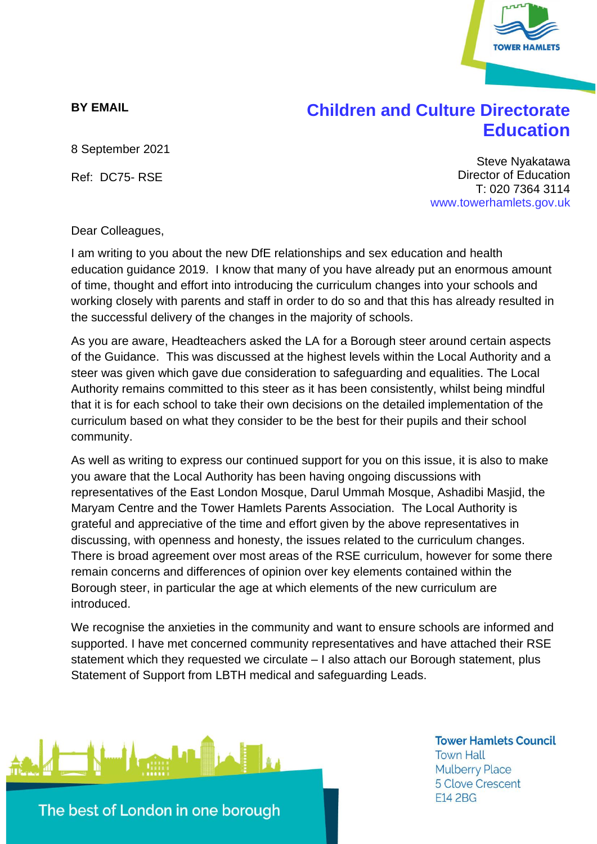

## **BY EMAIL**

## **Children and Culture Directorate Education**

8 September 2021

Ref: DC75- RSE

Steve Nyakatawa Director of Education T: 020 7364 3114 www.towerhamlets.gov.uk

Dear Colleagues,

I am writing to you about the new DfE relationships and sex education and health education guidance 2019. I know that many of you have already put an enormous amount of time, thought and effort into introducing the curriculum changes into your schools and working closely with parents and staff in order to do so and that this has already resulted in the successful delivery of the changes in the majority of schools.

As you are aware, Headteachers asked the LA for a Borough steer around certain aspects of the Guidance. This was discussed at the highest levels within the Local Authority and a steer was given which gave due consideration to safeguarding and equalities. The Local Authority remains committed to this steer as it has been consistently, whilst being mindful that it is for each school to take their own decisions on the detailed implementation of the curriculum based on what they consider to be the best for their pupils and their school community.

As well as writing to express our continued support for you on this issue, it is also to make you aware that the Local Authority has been having ongoing discussions with representatives of the East London Mosque, Darul Ummah Mosque, Ashadibi Masjid, the Maryam Centre and the Tower Hamlets Parents Association. The Local Authority is grateful and appreciative of the time and effort given by the above representatives in discussing, with openness and honesty, the issues related to the curriculum changes. There is broad agreement over most areas of the RSE curriculum, however for some there remain concerns and differences of opinion over key elements contained within the Borough steer, in particular the age at which elements of the new curriculum are introduced.

We recognise the anxieties in the community and want to ensure schools are informed and supported. I have met concerned community representatives and have attached their RSE statement which they requested we circulate – I also attach our Borough statement, plus Statement of Support from LBTH medical and safeguarding Leads.



**Tower Hamlets Council Town Hall Mulberry Place 5 Clove Crescent E14 2BG**